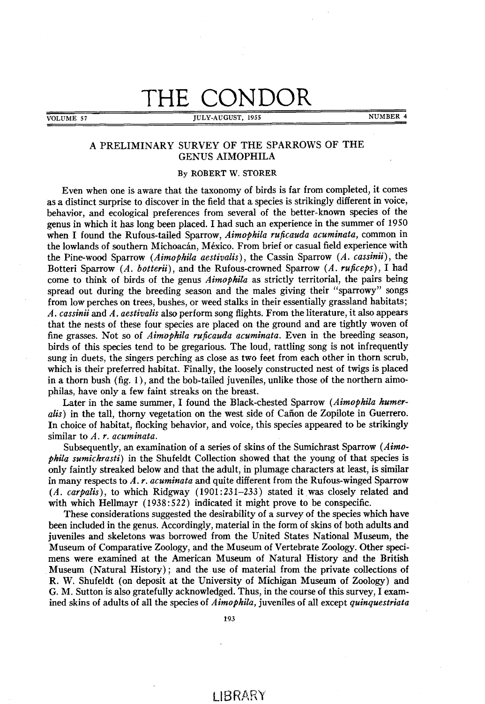# **THE CONDOR**

# **VOLUME 57 IULY-AUGUST, 1955** NUMBER 4

## **A PRELIMINARY SURVEY OF THE SPARROWS OF THE GENUS AIMOPHILA**

### **By ROBERT W. STORER**

**Even when one is aware that the taxonomy of birds is far from completed, it comes as a distinct surprise to discover in the field that a species is strikingly different in voice, behavior, and ecological preferences from several of the better-known species of the genus in which it has long been placed. I had such an experience in the summer of 1950**  when I found the Rufous-tailed Sparrow, Aimophila ruficauda acuminata, common in the lowlands of southern Michoacán, México. From brief or casual field experience with **the Pinewood Sparrow (Aimophila aestivalis), the Cassin Sparrow (A. cassinii) , the**  Botteri Sparrow (A. botterii), and the Rufous-crowned Sparrow (A. ruficeps), I had come to think of birds of the genus *Aimophila* as strictly territorial, the pairs being **spread out during the breeding season and the males giving their "sparrowy" songs from low perches on trees, bushes, or weed stalks in their essentially grassland habitats; A. cassinii and A. aestivalis also perform song flights. From the literature, it also appears that the nests of these four species are placed on the ground and are tightly woven of**  fine grasses. Not so of *Aimophila ruficauda acuminata*. Even in the breeding season, **birds of this species tend to be gregarious. The loud, rattling song is not infrequently sung in duets, the singers perching as close as two feet from each other in thorn scrub, which is their preferred habitat. Finally, the loosely constructed nest of twigs is placed in a thorn bush (fig. 1) , and the bob-tailed juveniles, unlike those of the northern aimophilas, have only a few faint streaks on the breast.** 

Later in the same summer, I found the Black-chested Sparrow (Aimophila humeralis) in the tall, thorny vegetation on the west side of Cañon de Zopilote in Guerrero. **In choice of habitat, flocking behavior, and voice, this species appeared to be strikingly similar to A. r. acuminata.** 

**Subsequently, an examination of a series of skins of the Sumichrast Sparrow (Aimophila sumichrasti) in the Shufeldt Collection showed that the young of that species is only faintly streaked below and that the adult, in plumage characters at least, is similar in many respects to A. r. acuminata and quite different from the Rufous-winged Sparrow**  (A. carpalis), to which Ridgway (1901:231-233) stated it was closely related and with which Hellmayr (1938:522) indicated it might prove to be conspecific.

**These considerations suggested the desirability of a survey of the species which have been included in the genus. Accordingly, material in the form of skins of both adults and juveniles and skeletons was borrowed from the United States National Museum, the Museum of Comparative Zoology, and the Museum of Vertebrate Zoology. Other specimens were examined at the American Museum of Natural History and the British Museum (Natural History) ; and the use of material from the private collections of R. W. Shufeldt (on deposit at the University of Michigan Museum of Zoology) and G. M. Sutton is also gratefully acknowledged. Thus, in the course of this survey, I examined skins of adults of all the species of Aimophila, juveniles of all except quinquestriata** 

**193**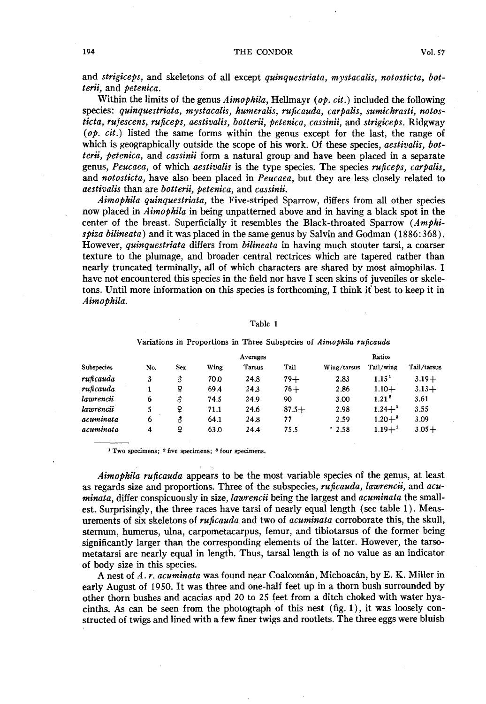and *strigiceps*, and skeletons of all except *quinquestriata*, *mystacalis*, *notosticta*, *bot***terii, and petenica.** 

Within the limits of the genus *Aimophila*, Hellmayr (*op. cit.*) included the following **species: quinquestriata, mystacalis, humeralis, rujicauda, carpalis, sumichrasti, notosticta, rufescens, ruficeps, aestivalis, botterii, petenica, cassinii, and strigiceps. Ridgway (op. cit.) listed the same forms within the genus except for the last, the range of**  which is geographically outside the scope of his work. Of these species, *aestivalis*, *bot***terii, petenica, and cassinii form a natural group and have been placed in a separate genus, Peucaea, of which aestivalis is the type species. The species ruficeps, carpalis, and notosticta, have also been placed in Peucaea, but they are less closely related to aestivalis than are botterii, petenica, and cassinii.** 

**Aimophila quinquestriata, the Five-striped Sparrow, differs from all other species now placed in Aimophila in being unpatterned above and in having a black spot in the center of the breast. Superficially it resembles the Black-throated Sparrow (Amphispiza bilineata) and it was placed in the same genus by Salvin and Godman (1886: 368). However, quinquestriata differs from bilineata in having much stouter tarsi, a coarser texture to the plumage, and broader central rectrices which are tapered rather than nearly truncated terminally, all of which characters are shared by most aimophilas. I have not encountered this species in the field nor have I seen skins of juveniles or skeletons. Until more information on this species is forthcoming, I think it best to keep it in Aimophila.** 

#### **Table 1**

| <b>Subspecies</b> | No. |     | Averages |        |         | Ratios      |                       |             |
|-------------------|-----|-----|----------|--------|---------|-------------|-----------------------|-------------|
|                   |     | Sex | Wing     | Tarsus | Tail    | Wing/tarsus | Tail/wing             | Tail/tarsus |
| ruficauda         |     | ô   | 70.0     | 24.8   | $79+$   | 2.83        | 1.15 <sup>1</sup>     | $3.19+$     |
| ruficauda         |     | Q   | 69.4     | 24.3   | $76+$   | 2.86        | $1.10+$               | $3.13+$     |
| lawrencii         | 6   | ŝ   | 74.5     | 24.9   | 90      | 3.00        | $1.21^{2}$            | 3.61        |
| lawrencii         | 5.  | Q   | 71.1     | 24.6   | $87.5+$ | 2.98        | $1.24 +$ <sup>3</sup> | 3.55        |
| acuminata         | 6   | δ.  | 64.1     | 24.8   | 77      | 2.59        | $1.20 +$ <sup>3</sup> | 3.09        |
| acuminata         | 4   | ò   | 63.0     | 24.4   | 75.5    | .2.58       | $1.19+^1$             | $3.05+$     |

#### **Variations in Proportions in Three Subspecies of Aimophila rujicauda**

<sup>1</sup> Two specimens; <sup>2</sup> five specimens; <sup>3</sup> four specimens.

**Aimophila ruficauda appears to be the most variable species of the genus, at least as regards size and proportions. Three of the subspecies, ruficauda, lawrencii, and acuminata, differ conspicuously in size, lawencii being the largest and acuminata the smallest. Surprisingly, the three races have tarsi of nearly equal length (see table 1) . Measurements of six skeletons of ruficauda and two of acuminata corroborate this, the skull, sternum, humerus, ulna, carpometacarpus, femur, and tibiotarsus of the former being significantly larger than the corresponding elements of the latter. However, the tarsometatarsi are nearly equal in length. Thus, tarsal length is of no value as an indicator of body size in this species.** 

**A nest of A. Y. acuminata was found near Coalcomin, Michoacan, by E. K. Miller in early August of 1950. It was three and one-half feet up in a thorn bush surrounded by other thorn bushes and acacias and 20 to 25 feet from a ditch choked with water hyacinths. As can be seen from the photograph of this nest (fig. 1)) it was loosely constructed of twigs and lined with a few finer twigs and rootlets. The three eggs were bluish** 

**--**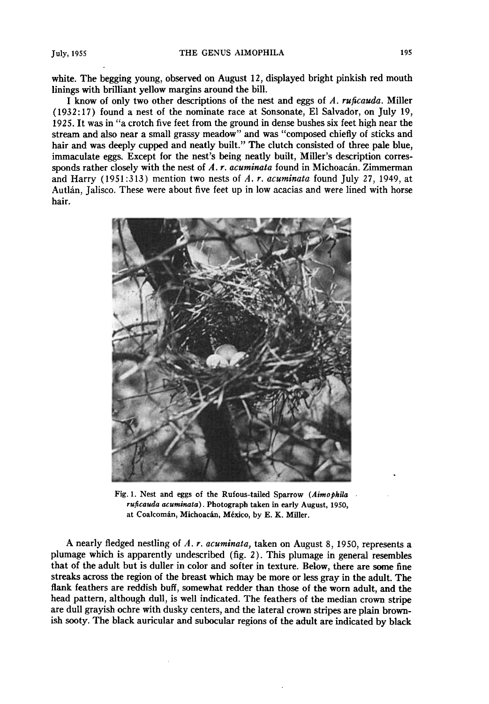**white. The begging young, observed on August 12, displayed bright pinkish red mouth linings with brilliant yellow margins around the bill.** 

**I** know of only two other descriptions of the nest and eggs of A. ruficauda. Miller **(1932: 17) found a nest of the nominate race at Sonsonate, El Salvador, on July 19, 1925. It was in "a crotch five feet from the ground in dense bushes six feet high near the stream and also near a small grassy meadow" and was "composed chiefly of sticks and hair and was deeply cupped and neatly built." The clutch consisted of three pale blue, immaculate eggs. Except for the nest's being neatly built, Miller's description corres**sponds rather closely with the nest of A. r. acuminata found in Michoacán. Zimmerman **and Harry (1951:313) mention two nests of A. r. acuminata found July 27, 1949, at**  Autlán, Jalisco. These were about five feet up in low acacias and were lined with horse **hair.** 



Fig. 1. Nest and eggs of the Rufous-tailed Sparrow *(Aimophila* **ruficauda acuminate). Photograph taken in-early August, i950,**  at Coalcomán, Michoacán, México, by E. K. Miller.

**A nearly fledged nestling of A. r. acuminata, taken on August 8, 1950, represents a plumage which is apparently undescribed (fig. 2). This plumage in general resembles that of the adult but is duller in color and softer in texture. Below, there are some fine streaks across the region of the breast which may be more or less gray in the adult. The flank feathers are reddish buff, somewhat redder than those of the worn adult, and the head pattern, although dull, is well indicated. The feathers of the median crown stripe are dull grayish ochre with dusky centers, and the lateral crown stripes are plain brownish sooty. The black auricular and subocular regions of the adult are indicated by black**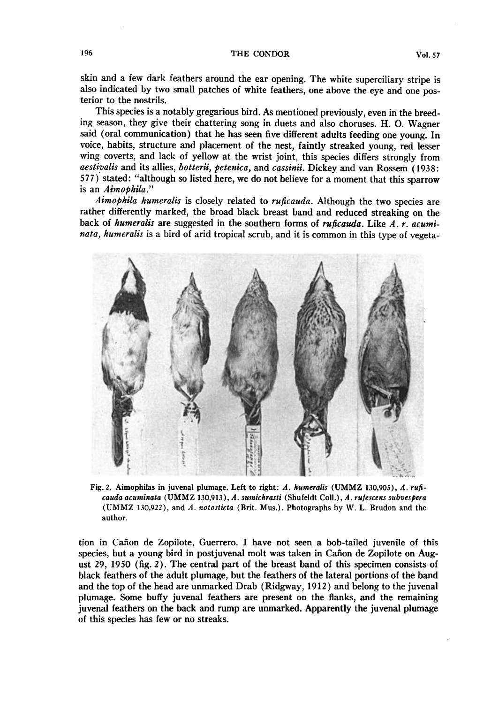**196 198 198 198 198 198 198 198 198 198 198 198 198 198 198 198 198 198 198 198 198 198 198 198 198 198 198 198 198 198 198 198 198 198 198 198 198**

**skin and a few dark feathers around the ear opening. The white superciliary stripe is also indicated by two small patches of white feathers, one above the eye and one posterior to the nostrils.** 

**This species is a notably gregarious bird. As mentioned previously, even in the breeding season, they give their chattering song in duets and also choruses. H. 0. Wagner said (oral communication) that he has seen five different adults feeding one young. In voice, habits, structure and placement of the nest, faintly streaked young, red lesser wing coverts, and lack of yellow at the wrist joint, this species differs strongly from aestivalis and its allies,** *botterii, petenica***, and** *cassinii***. Dickey and van Rossem (1938: 577)'stated: "although so listed here, we do not believe for a moment that this sparrow is an Aimophila."** 

**Aimophila humeralis is closely related to ruficauda. Although the two species are rather differently marked, the broad black breast band and reduced streaking on the back of humeralis are suggested in the southern forms of ruficauda. Like A. r. acuminata, humeralis is a bird of arid tropical scrub, and it is common in this type of vegeta-**



**Fig. 2. Aimophilas in juvenal plumage. Left to right: A. humeralis (UMMZ 130,905), A. rufi**cauda acuminata (UMMZ 130,913), A. sumichrasti (Shufeldt Coll.), A. rufescens subvespera **(UMMZ 130,922), and A. notosticta (Brit. Mus.). Photographs by W. L. Brudon and the author.** 

**tion in Cation de Zopilote, Guerrero. I have not seen a bob-tailed juvenile of this**  species, but a young bird in postjuvenal molt was taken in Cañon de Zopilote on Aug**ust 29, 1950 (fig. 2). The central part of the breast band of this specimen consists of black feathers of the adult plumage, but the feathers of the lateral portions of the band and the top of the head are unmarked Drab (Ridgway, 1912) and belong to the juvenal plumage. Some buffy juvenal feathers are present on the flanks, and the remaining juvenal feathers on the back and rump are unmarked. Apparently the juvenal plumage of this species has few or no streaks.**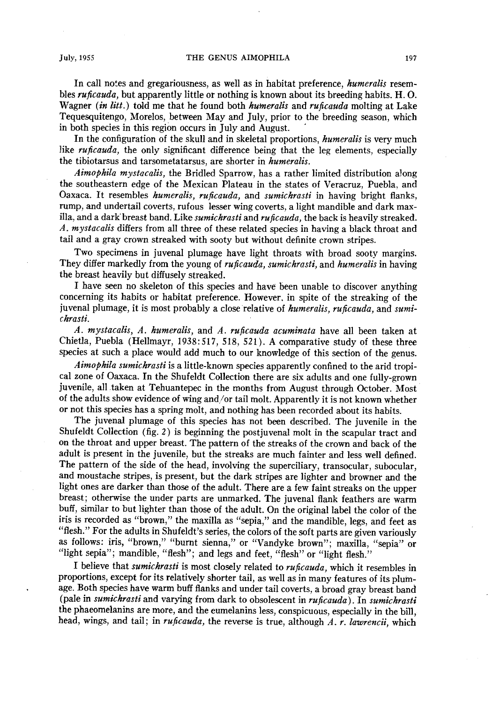**In call notes and gregariousness, as well as in habitat preference, humeralis resembles ruficauda, but apparently little or nothing is known about its breeding habits. H. 0.**  Wagner (in litt.) told me that he found both humeralis and ruficauda molting at Lake **Tequesquitengo, Morelos, between May and July, prior to the breeding season, which**  in both species in this region occurs in July and August.

**In the configuration of the skull and in skeletal proportions, humeralis is very much like ruficauda, the only significant difference being that the leg elements, especially**  the tibiotarsus and tarsometatarsus, are shorter in *humeralis*.

Aimophila mystacalis, the Bridled Sparrow, has a rather limited distribution along **the southeastern edge of the Mexican Plateau in the states of Veracruz, Puebla, and Oaxaca. It resembles humeralis, ruficauda, and sumichrasti in having bright flanks, rump, and undertail coverts, rufous lesser wing coverts, a light mandible and dark maxilla, and a dark breast band. Like sumichrasti and ruficauda, the back is heavily streaked. A. mystacalis differs from all three of these related species in having a black throat and tail and a gray crown streaked with sooty but without definite crown stripes.** 

**Two specimens in juvenal plumage have light throats with broad sooty margins. They differ markedly from the young of ruficauda, sumichrasti, and humeralis in having the breast heavily but diffusely streaked.** 

**I have seen no skeleton of this species and have been unable to discover anything concerning its habits or habitat preference. However. in spite of the streaking of the**  juvenal plumage, it is most probably a close relative of *humeralis, ruficauda*, and sumi**chrasti.** 

**A. mystacalis, A. humeralis, and A. ruficauda acuminata have all been taken at Chietla, Puebla (Hellmayr, 1938: 517, 518, 52 1). A comparative study of these three species at such a place would add much to our knowledge of this section of the genus.** 

**Aimophila sumichrasti is a little-known species apparently confined to the arid tropical zone of Oaxaca. In the Shufeldt Collection there are six adults and one fully-grown juvenile, all taken at Tehuantepec in the months from August through October. Most of the adults show evidence of wing and/or tail molt. Apparently it is not known whether or not this species has a spring molt, and nothing has been recorded about its habits.** 

**The juvenal plumage of this species has not been described. The juvenile in the Shufeldt Collection (fig. 2) is beginning the postjuvenal molt in the scapular tract and on the throat and upper breast. The pattern of the streaks of the crown and back of the adult is present in the juvenile, but the streaks are much fainter and less well defined. The pattern of the side of the head, involving the superciliary, transocular, subocular, and moustache stripes, is present, but the dark stripes are lighter and browner and the light ones are darker than those of the adult. There are a few faint streaks on the upper breast; otherwise the under parts are unmarked. The juvenal flank feathers are warm buff, similar to but lighter than those of the adult. On the original label the color of the**  iris is recorded as "brown," the maxilla as "sepia," and the mandible, legs, and feet as **"flesh." For the adults in Shufeldt's series, the colors of the soft parts are given variously as follows: iris, "brown," "burnt sienna," or "Vandyke brown"; maxilla, "sepia" or "light sepia"; mandible, "flesh"; and legs and feet, "flesh" or "light flesh."** 

**I believe that sumichrasti is most closely related to ruficauda, which it resembles in proportions, except for its relatively shorter tail, as well as in many features of its plumage. Both species have warm buff flanks and under tail coverts, a broad gray breast band (pale in sumichrasti and varying from dark to obsolescent in ruficauda) . In sumichrasti the phaeomelanins are more, and the eumelanins less, conspicuous, especially in the bill, head, wings, and tail; in ruficauda, the reverse is true, although A. Y. lawrencii, which**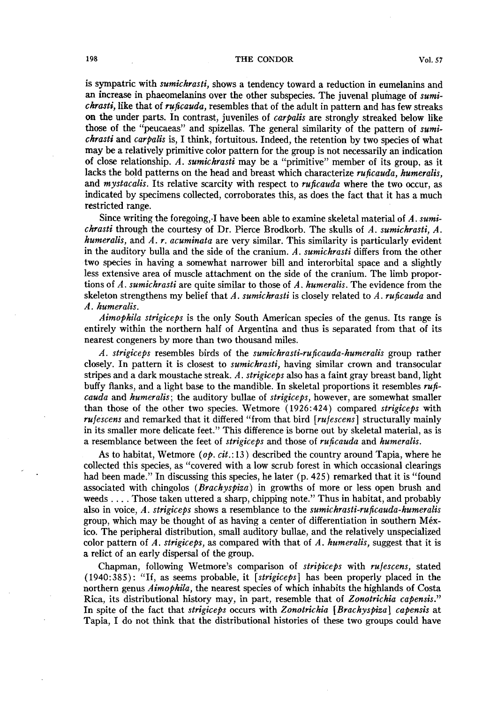**is sympatric with sumichrasti, shows a tendency toward a reduction in eumelanins and an increase in phaeomelanins over the other subspecies. The juvenal plumage of sumi**chrasti, like that of *ruficauda*, resembles that of the adult in pattern and has few streaks **on the under parts. In contrast, juveniles of carpalis are strongly streaked below like those of the "peucaeas" and spizellas. The general similarity of the pattern of sumi**chrasti and carpalis is, I think, fortuitous. Indeed, the retention by two species of what **may be a relatively primitive color pattern for the group is not necessarily an indication of close relationship. A. sumichrasti may be a "primitive" member of its group, as it lacks the bold patterns on the head and breast which characterize ruficauda, humeralis,**  and *mystacalis*. Its relative scarcity with respect to *ruficauda* where the two occur, as **indicated by specimens collected, corroborates this, as does the fact that it has a much restricted range.** 

**Since writing the foregoing,-1 have been able to examine skeletal material of A. sumichrasti through the courtesy of Dr. Pierce Brodkorb. The skulls of A. sumichrasti, A. humeralis, and A. Y. acuminata are very similar. This similarity is particularly evident in the auditory bulla and the side of the cranium. A. sumichrasti differs from the other two species in having a somewhat narrower bill and interorbital space and a slightly less extensive area of muscle attachment on the side of the cranium. The limb proportions of A. sumichrasti are quite similar to those of A. humeralis. The evidence from the skeleton strengthens my belief that A. sumichrasti is closely related to A. ruficauda and A. humeralis.** 

**Aimophila strigiceps is the only South American species of the genus. Its range is entirely within the northern half of Argentina and thus is separated from that of its nearest congeners by more than two thousand miles.** 

**A. strigiceps resembles birds of the sumichrasti-rujicauda-humeralis group rather closely. In pattern it is closest to sumichrasti, having similar crown and transocular stripes and a dark moustache streak. A. strigiceps also has a faint gray breast band, light buffy flanks, and a light base to the mandible. In skeletal proportions it resembles ruficauda and humeralis; the auditory bullae of strigiceps, however, are somewhat smaller than those of the other two species. Wetmore (1926:424) compared strigiceps with rufescens and remarked that it differed "from that bird [rufescens] structurally mainly in its smaller more delicate feet." This difference is borne out by skeletal material, as is**  a resemblance between the feet of *strigiceps* and those of *ruficauda* and *humeralis*.

As to habitat, Wetmore  $(\rho \phi, c\dot{\theta}, t; 13)$  described the country around Tapia, where he **collected this species, as "covered with a low scrub forest in which occasional clearings had been made." In discussing this species, he later (p. 425) remarked that it is "found associated with chingolos (Brachyspiza) in growths of more or less open brush and weeds . . . . Those taken uttered a sharp, chipping note." Thus in habitat, and probably**  also in voice, A. strigiceps shows a resemblance to the sumichrasti-ruficauda-humeralis group, which may be thought of as having a center of differentiation in southern Méx**ice. The peripheral distribution, small auditory bullae, and the relatively unspecialized color pattern of A. strigiceps, as compared with that of A. humeralis, suggest that it is a relict of an early dispersal of the group.** 

**Chapman, following Wetmore's comparison of stripiceps with rufescens, stated (1940:385) : "If, as seems probable, it [strigiceps] has been properly placed in the northern genus Aimophila, the nearest species of which inhabits the highlands of Costa Rica, its distributional history may, in part, resemble that of Zonotrichia capensis." In spite of the fact that strigiceps occurs with Zonotrichia [Brachyspiza] capensis at Tapia, I do not think that the distributional histories of these two groups could have**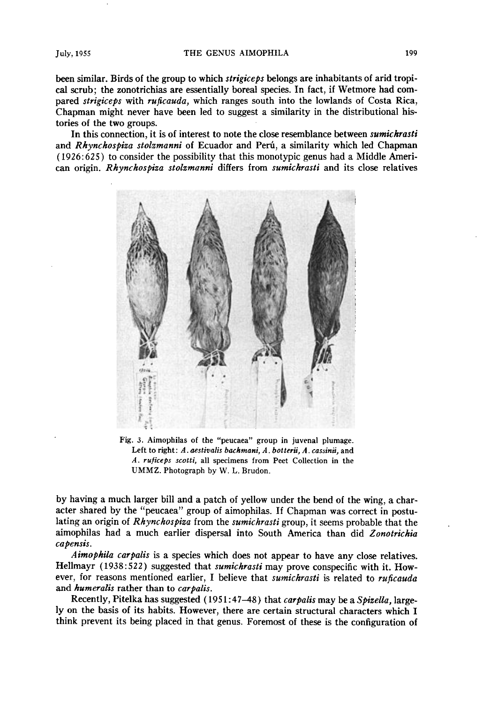**been similar. Birds of the group to which strigiceps belongs are inhabitants of arid tropical scrub; the zonotrichias are essentially boreal species. In fact, if Wetmore had compared** *strigiceps* **with** *ruficauda***, which ranges south into the lowlands of Costa Rica, Chapman might never have been led to suggest a similarity in the distributional histories of the two groups.** 

**In this connection, it is of interest to note the close resemblance between sumichrasti**  and *Rhynchospiza stolzmanni* of Ecuador and Perú, a similarity which led Chapman **(1926:625) to consider the possibility that this monotypic genus had a Middle American origin. Rhynchospiza stolzmanni differs from sumichrasti and its close relatives** 



**Fig. 3. Aimophilas of the "peucaea" group in juvenal plumage. Left to right: A. aestivalis bachmani, A. botterii, A. cassinii, and A. ruficeps scotti, all specimens from Peet Collection in the UMMZ. Photograph by W. L. Brudon.** 

**by having a much larger bill and a patch of yellow under the bend of the wing, a character shared by the "peucaea" group of aimophilas. If Chapman was correct in postulating an origin of Rhynchospiza from the sumichrasti group, it seems probable that the aimophilas had a much earlier dispersal into South America than did Zonotrichia capensis.** 

**Aimophila carpalis is a species which does not appear to have any close relatives. Hellmayr (1938:522) suggested that sumichrasti may prove conspecific with it. However, for reasons mentioned earlier, I believe that** *sumichrasti* **is related to** *ruficauda* **and humeralis rather than to carpalis.** 

Recently, Pitelka has suggested (1951:47-48) that *carpalis* may be a *Spizella*, large**ly on the basis of its habits. However, there are certain structural characters which I think prevent its being placed in that genus. Foremost of these is the configuration of**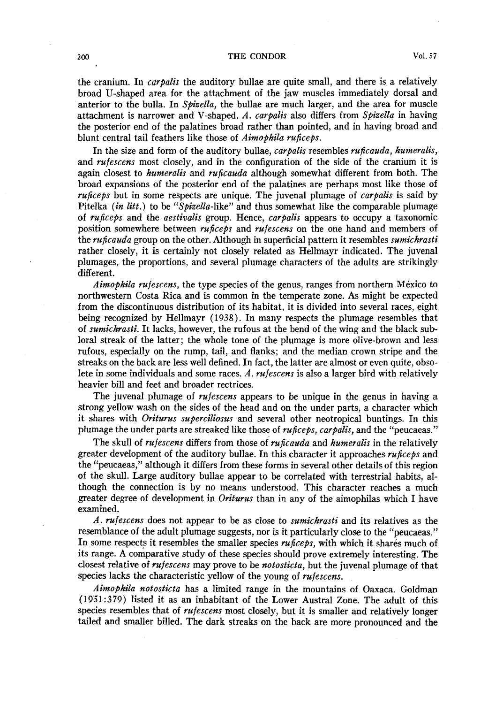**200 THE CONDOR Vol. 57** 

the cranium. In *carpalis* the auditory bullae are quite small, and there is a relatively **broad U-shaped area for the attachment of the jaw muscles immediately dorsal and**  anterior to the bulla. In *Spizella*, the bullae are much larger, and the area for muscle **attachment is narrower and V-shaped. A. carpalis also differs from Spizella in having the posterior end of the palatines broad rather than pointed, and in having broad and blunt central tail feathers like those of Aimophila ruficeps.** 

**In the size and form of the auditory bullae, carpalis resembles ruficauda, humeralis, and rufescens most closely, and in the configuration of the side of the cranium it is again closest to humeralis and ruficauda although somewhat different from both. The broad expansions of the posterior end of the palatines are perhaps most like those of ruficeps but in some respects are unique. The juvenal plumage of carpalis is said by**  Pitelka (in litt.) to be "Spizella-like" and thus somewhat like the comparable plumage **of ruficeps and the aestivalis group. Hence, carpalis appears to occupy a taxonomic**  position somewhere between *ruficeps* and *rufescens* on the one hand and members of **the ruficauda group on the other. Although in superficial pattern it resembles sumichrasti rather closely, it is certainly not closely related as Hellmayr indicated. The juvenal plumages, the proportions, and several plumage characters of the adults are strikingly different.** 

**Aimophila rufescens, the type species of the genus, ranges from northern Mexico to northwestern Costa Rica and is common in the temperate zone. As might be expected from the discontinuous distribution of its habitat, it is divided into several races, eight being recognized by Hellmayr (1938). In many respects the plumage resembles that of sumichrasti. It lacks, however, the rufous at the bend of the wing and the black sub loral streak of the latter; the whole tone of the plumage is more olive-brown and less rufous, especially on the rump, tail, and flanks; and the median crown stripe and the streaks on the back are less well defined. In fact, the latter are almost or even quite, obsolete in some individuals and some races. A. rufescens is also a larger bird with relatively heavier bill and feet and broader rectrices.** 

The juvenal plumage of *rufescens* appears to be unique in the genus in having a **strong yellow wash on the sides of the head and on the under parts, a character which it shares with Oriturus superciliosus and several other neotropical buntings. In this plumage the under parts are streaked like those of ruficeps, carpalis, and the "peucaeas."** 

**The skull of rufescens differs from those of ruficauda and humeralis in the relatively greater development of the auditory bullae. In this character it approaches ruficeps and the "peucaeas," although it differs from these forms in several other details of this region of the skull. Large auditory bullae appear to be correlated with terrestrial habits, although the connection is by no means understood. This character reaches a much greater degree of development in Oriturus than in any of the aimophilas which I have examined.** 

**A. rufescens does not appear to be as close to sumichrasti and its relatives as the resemblance of the adult plumage suggests, nor is it particularly close to the "peucaeas." In some respects it resembles the smaller species ruficeps, with which it shares much of its range. A comparative study of these species should prove extremely interesting. The closest relative of rufescens may prove to be notosticta, but the juvenal plumage of that species lacks the characteristic yellow of the young of rufescens.** 

**Aimophila notosticta has a limited range in the mountains of Oaxaca. Goldman (1951:379) listed it as an inhabitant of the Lower Austral Zone. The adult of this species resembles that of rufescens most closely, but it is smaller and relatively longer tailed and smaller billed. The dark streaks on the back are more pronounced and the**